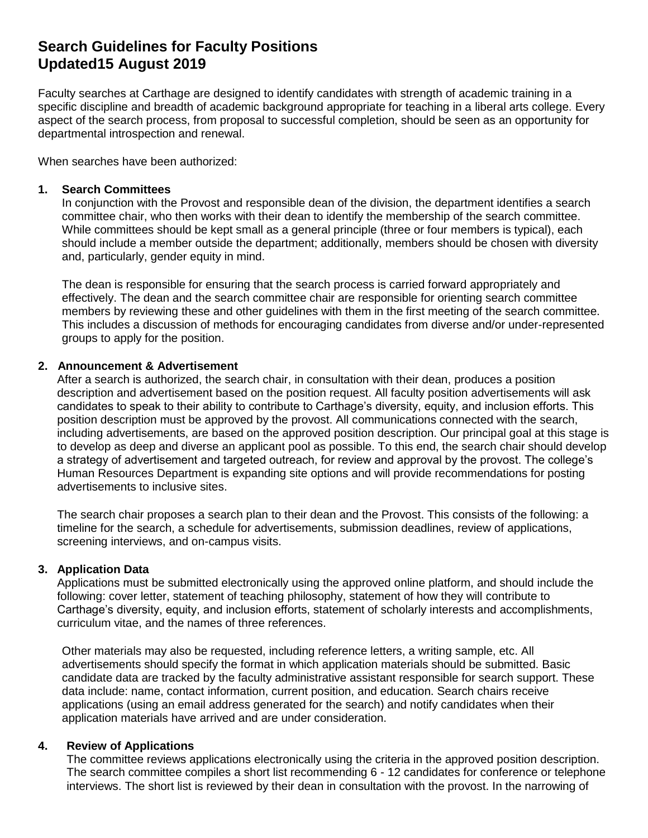# **Search Guidelines for Faculty Positions Updated15 August 2019**

Faculty searches at Carthage are designed to identify candidates with strength of academic training in a specific discipline and breadth of academic background appropriate for teaching in a liberal arts college. Every aspect of the search process, from proposal to successful completion, should be seen as an opportunity for departmental introspection and renewal.

When searches have been authorized:

## **1. Search Committees**

In conjunction with the Provost and responsible dean of the division, the department identifies a search committee chair, who then works with their dean to identify the membership of the search committee. While committees should be kept small as a general principle (three or four members is typical), each should include a member outside the department; additionally, members should be chosen with diversity and, particularly, gender equity in mind.

The dean is responsible for ensuring that the search process is carried forward appropriately and effectively. The dean and the search committee chair are responsible for orienting search committee members by reviewing these and other guidelines with them in the first meeting of the search committee. This includes a discussion of methods for encouraging candidates from diverse and/or under-represented groups to apply for the position.

## **2. Announcement & Advertisement**

After a search is authorized, the search chair, in consultation with their dean, produces a position description and advertisement based on the position request. All faculty position advertisements will ask candidates to speak to their ability to contribute to Carthage's diversity, equity, and inclusion efforts. This position description must be approved by the provost. All communications connected with the search, including advertisements, are based on the approved position description. Our principal goal at this stage is to develop as deep and diverse an applicant pool as possible. To this end, the search chair should develop a strategy of advertisement and targeted outreach, for review and approval by the provost. The college's Human Resources Department is expanding site options and will provide recommendations for posting advertisements to inclusive sites.

The search chair proposes a search plan to their dean and the Provost. This consists of the following: a timeline for the search, a schedule for advertisements, submission deadlines, review of applications, screening interviews, and on-campus visits.

#### **3. Application Data**

Applications must be submitted electronically using the approved online platform, and should include the following: cover letter, statement of teaching philosophy, statement of how they will contribute to Carthage's diversity, equity, and inclusion efforts, statement of scholarly interests and accomplishments, curriculum vitae, and the names of three references.

Other materials may also be requested, including reference letters, a writing sample, etc. All advertisements should specify the format in which application materials should be submitted. Basic candidate data are tracked by the faculty administrative assistant responsible for search support. These data include: name, contact information, current position, and education. Search chairs receive applications (using an email address generated for the search) and notify candidates when their application materials have arrived and are under consideration.

## **4. Review of Applications**

The committee reviews applications electronically using the criteria in the approved position description. The search committee compiles a short list recommending 6 - 12 candidates for conference or telephone interviews. The short list is reviewed by their dean in consultation with the provost. In the narrowing of